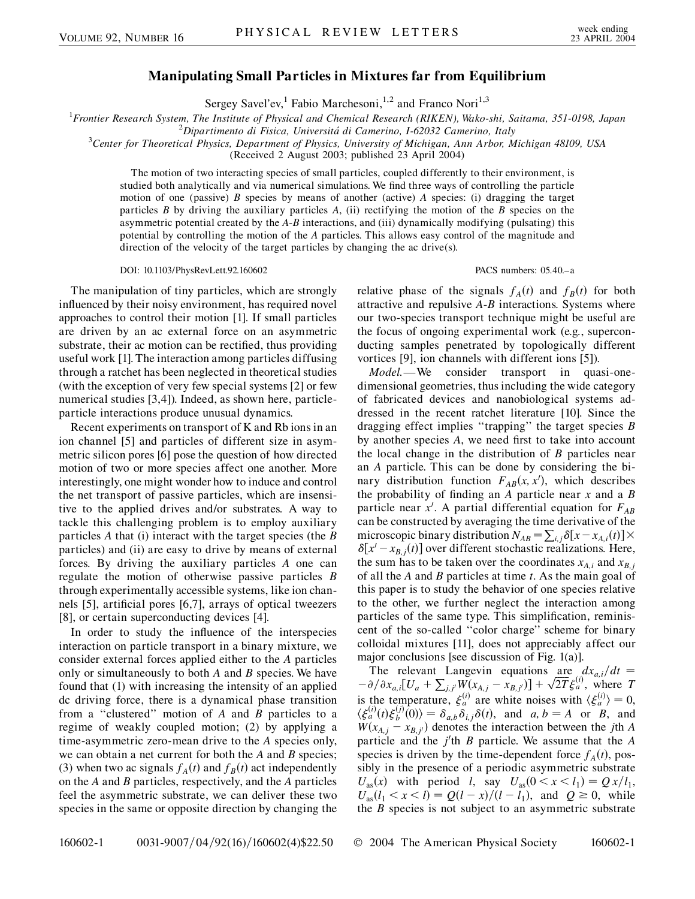## **Manipulating Small Particles in Mixtures far from Equilibrium**

Sergey Savel'ev,<sup>1</sup> Fabio Marchesoni,<sup>1,2</sup> and Franco Nori<sup>1,3</sup>

<sup>1</sup> Frontier Research System, The Institute of Physical and Chemical Research (RIKEN), Wako-shi, Saitama, 351-0198, Japan<br><sup>2</sup> Dinartimento di Fisica, Universitá di Camerino, 162032 Camerino, Italy

*Dipartimento di Fisica, Universita´ di Camerino, I-62032 Camerino, Italy* <sup>3</sup>

*Center for Theoretical Physics, Department of Physics, University of Michigan, Ann Arbor, Michigan 48109, USA*

(Received 2 August 2003; published 23 April 2004)

The motion of two interacting species of small particles, coupled differently to their environment, is studied both analytically and via numerical simulations. We find three ways of controlling the particle motion of one (passive) *B* species by means of another (active) *A* species: (i) dragging the target particles *B* by driving the auxiliary particles *A*, (ii) rectifying the motion of the *B* species on the asymmetric potential created by the *A*-*B* interactions, and (iii) dynamically modifying (pulsating) this potential by controlling the motion of the *A* particles. This allows easy control of the magnitude and direction of the velocity of the target particles by changing the ac drive(s).

DOI: 10.1103/PhysRevLett.92.160602 PACS numbers: 05.40.–a

The manipulation of tiny particles, which are strongly influenced by their noisy environment, has required novel approaches to control their motion [1]. If small particles are driven by an ac external force on an asymmetric substrate, their ac motion can be rectified, thus providing useful work [1]. The interaction among particles diffusing through a ratchet has been neglected in theoretical studies (with the exception of very few special systems [2] or few numerical studies [3,4]). Indeed, as shown here, particleparticle interactions produce unusual dynamics.

Recent experiments on transport of K and Rb ions in an ion channel [5] and particles of different size in asymmetric silicon pores [6] pose the question of how directed motion of two or more species affect one another. More interestingly, one might wonder how to induce and control the net transport of passive particles, which are insensitive to the applied drives and/or substrates. A way to tackle this challenging problem is to employ auxiliary particles *A* that (i) interact with the target species (the *B* particles) and (ii) are easy to drive by means of external forces. By driving the auxiliary particles *A* one can regulate the motion of otherwise passive particles *B* through experimentally accessible systems, like ion channels [5], artificial pores [6,7], arrays of optical tweezers [8], or certain superconducting devices [4].

In order to study the influence of the interspecies interaction on particle transport in a binary mixture, we consider external forces applied either to the *A* particles only or simultaneously to both *A* and *B* species. We have found that (1) with increasing the intensity of an applied dc driving force, there is a dynamical phase transition from a ''clustered'' motion of *A* and *B* particles to a regime of weakly coupled motion; (2) by applying a time-asymmetric zero-mean drive to the *A* species only, we can obtain a net current for both the *A* and *B* species; (3) when two ac signals  $f_A(t)$  and  $f_B(t)$  act independently on the *A* and *B* particles, respectively, and the *A* particles feel the asymmetric substrate, we can deliver these two species in the same or opposite direction by changing the

relative phase of the signals  $f_A(t)$  and  $f_B(t)$  for both attractive and repulsive *A*-*B* interactions. Systems where our two-species transport technique might be useful are the focus of ongoing experimental work (e.g., superconducting samples penetrated by topologically different vortices [9], ion channels with different ions [5]).

*Model*.—We consider transport in quasi-onedimensional geometries, thus including the wide category of fabricated devices and nanobiological systems addressed in the recent ratchet literature [10]. Since the dragging effect implies ''trapping'' the target species *B* by another species *A*, we need first to take into account the local change in the distribution of *B* particles near an *A* particle. This can be done by considering the binary distribution function  $F_{AB}(x, x')$ , which describes the probability of finding an *A* particle near *x* and a *B* particle near  $x'$ . A partial differential equation for  $F_{AB}$ can be constructed by averaging the time derivative of the microscopic binary distribution  $N_{AB} = \sum_{i,j} \delta[x - x_{A,i}(t)] \times$  $\delta[x'-x_{B,j}(t)]$  over different stochastic realizations. Here, the sum has to be taken over the coordinates  $x_{A,i}$  and  $x_{B,j}$ of all the *A* and *B* particles at time *t*. As the main goal of this paper is to study the behavior of one species relative to the other, we further neglect the interaction among particles of the same type. This simplification, reminiscent of the so-called ''color charge'' scheme for binary colloidal mixtures [11], does not appreciably affect our major conclusions [see discussion of Fig. 1(a)].

The relevant Langevin equations are  $dx_{a,i}/dt=$  $\left[ -\frac{\partial}{\partial x_{a,i}} \left[ U_a + \sum_{j,j'} W(x_{A,j} - x_{B,j'}) \right] + \sqrt{2T} \right]$  $\frac{1}{2}$ -ا<br>ה -<br>7 - $\frac{d\mathbf{x}_{a,i}}{d\mathbf{T}} \xi_a^{(i)}$ , where *T* is the temperature,  $\xi_a^{(i)}$  are white noises with  $\langle \xi_a^{(i)} \rangle = 0$ ,  $\langle \xi_a^{(i)}(t) \xi_b^{(j)}(0) \rangle = \delta_{a,b} \delta_{i,j} \delta(t)$ , and  $a, b = A$  or *B*, and  $W(x_{A,j} - x_{B,j})$  denotes the interaction between the *j*th *A* particle and the *j*'th *B* particle. We assume that the *A* species is driven by the time-dependent force  $f_A(t)$ , possibly in the presence of a periodic asymmetric substrate  $U_{\text{as}}(x)$  with period *l*, say  $U_{\text{as}}(0 \le x \le l_1) = Q x/l_1$ ,  $U_{\text{as}}(l_1 < x < l) = Q(l - x)/(l - l_1)$ , and  $Q \ge 0$ , while the *B* species is not subject to an asymmetric substrate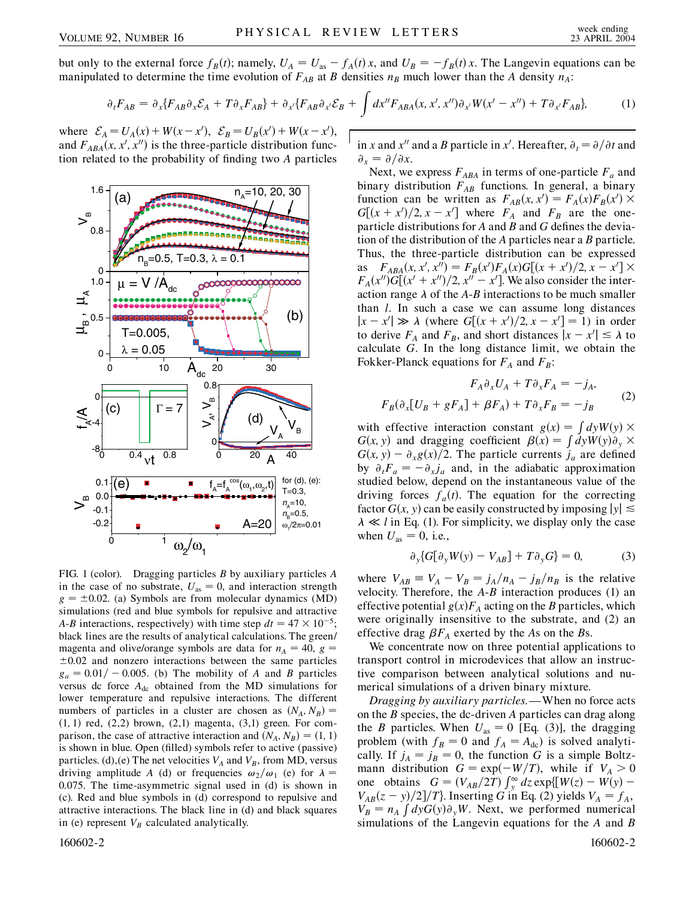but only to the external force  $f_B(t)$ ; namely,  $U_A = U_{as} - f_A(t)x$ , and  $U_B = -f_B(t)x$ . The Langevin equations can be manipulated to determine the time evolution of  $F_{AB}$  at *B* densities  $n_B$  much lower than the *A* density  $n_A$ :

$$
\partial_t F_{AB} = \partial_x \{ F_{AB} \partial_x \mathcal{E}_A + T \partial_x F_{AB} \} + \partial_{x'} \{ F_{AB} \partial_{x'} \mathcal{E}_B + \int dx'' F_{ABA}(x, x', x'') \partial_{x'} W(x' - x'') + T \partial_{x'} F_{AB} \}, \tag{1}
$$

where  $\mathcal{E}_A = U_A(x) + W(x - x'), \ \mathcal{E}_B = U_B(x') + W(x - x'),$ and  $F_{ABA}(x, x', x'')$  is the three-particle distribution function related to the probability of finding two *A* particles



FIG. 1 (color). Dragging particles *B* by auxiliary particles *A* in the case of no substrate,  $U_{\text{as}} = 0$ , and interaction strength  $g = \pm 0.02$ . (a) Symbols are from molecular dynamics (MD) simulations (red and blue symbols for repulsive and attractive *A*-*B* interactions, respectively) with time step  $dt = 47 \times 10^{-5}$ ; black lines are the results of analytical calculations. The green/ magenta and olive/orange symbols are data for  $n_A = 40$ ,  $g =$  $\pm 0.02$  and nonzero interactions between the same particles  $g_a = 0.01/- 0.005$ . (b) The mobility of *A* and *B* particles versus dc force  $A_{dc}$  obtained from the MD simulations for lower temperature and repulsive interactions. The different numbers of particles in a cluster are chosen as  $(N_A, N_B)$  =  $(1, 1)$  red,  $(2, 2)$  brown,  $(2, 1)$  magenta,  $(3, 1)$  green. For comparison, the case of attractive interaction and  $(N_A, N_B) = (1, 1)$ is shown in blue. Open (filled) symbols refer to active (passive) particles. (d), (e) The net velocities  $V_A$  and  $V_B$ , from MD, versus driving amplitude *A* (d) or frequencies  $\omega_2/\omega_1$  (e) for  $\lambda =$ 0*:*075. The time-asymmetric signal used in (d) is shown in (c). Red and blue symbols in (d) correspond to repulsive and attractive interactions. The black line in (d) and black squares in (e) represent  $V_B$  calculated analytically.

in *x* and *x*<sup>*u*</sup> and a *B* particle in *x*<sup>*i*</sup>. Hereafter,  $\partial_t = \partial/\partial t$  and  $\partial_x = \partial/\partial x$ .

Next, we express  $F_{ABA}$  in terms of one-particle  $F_a$  and binary distribution  $F_{AB}$  functions. In general, a binary function can be written as  $F_{AB}(x, x') = F_A(x)F_B(x')$  ×  $G[(x + x')/2, x - x']$  where  $F_A$  and  $F_B$  are the oneparticle distributions for *A* and *B* and *G* defines the deviation of the distribution of the *A* particles near a *B* particle. Thus, the three-particle distribution can be expressed as  $F_{ABA}(x, x', x'') = F_B(x')F_A(x)G[(x + x')/2, x - x'] \times$  $F_A(x'')G[(x'+x'')/2, x''-x']$ . We also consider the interaction range  $\lambda$  of the *A*-*B* interactions to be much smaller than *l*. In such a case we can assume long distances  $|x - x'| \gg \lambda$  (where  $G[(x + x')/2, x - x'] = 1$ ) in order to derive  $F_A$  and  $F_B$ , and short distances  $|x - x'| \leq \lambda$  to calculate *G*. In the long distance limit, we obtain the Fokker-Planck equations for  $F_A$  and  $F_B$ :

$$
F_A \partial_x U_A + T \partial_x F_A = -j_A,
$$
  

$$
F_B(\partial_x [U_B + gF_A] + \beta F_A) + T \partial_x F_B = -j_B
$$
 (2)

with effective interaction constant  $g(x) = \int dy W(y) \times$  $G(x, y)$  and dragging coefficient  $\beta(x) = \int dy W(y) \partial_y x$  $G(x, y) - \partial_x g(x)/2$ . The particle currents  $j_a$  are defined by  $\partial_t F_a = -\partial_x j_a$  and, in the adiabatic approximation studied below, depend on the instantaneous value of the driving forces  $f_a(t)$ . The equation for the correcting factor  $G(x, y)$  can be easily constructed by imposing  $|y| \leq$  $\lambda \ll l$  in Eq. (1). For simplicity, we display only the case when  $U_{\text{as}} = 0$ , i.e.,

$$
\partial_y \{ G[\partial_y W(y) - V_{AB}] + T \partial_y G \} = 0, \tag{3}
$$

where  $V_{AB} = V_A - V_B = j_A/n_A - j_B/n_B$  is the relative velocity. Therefore, the *A*-*B* interaction produces (1) an effective potential  $g(x)F_A$  acting on the *B* particles, which were originally insensitive to the substrate, and (2) an effective drag  $\beta F_A$  exerted by the *A*s on the *Bs*.

We concentrate now on three potential applications to transport control in microdevices that allow an instructive comparison between analytical solutions and numerical simulations of a driven binary mixture.

*Dragging by auxiliary particles*.—When no force acts on the *B* species, the dc-driven *A* particles can drag along the *B* particles. When  $U_{\text{as}} = 0$  [Eq. (3)], the dragging problem (with  $f_B = 0$  and  $f_A = A_{dc}$ ) is solved analytically. If  $j_A = j_B = 0$ , the function *G* is a simple Boltzmann distribution  $G = \exp(-W/T)$ , while if  $V_A > 0$ one obtains  $G = (V_{AB}/2T) \int_{y}^{\infty} dz \exp\{[W(z) - W(y) V_{AB}(z - y)/2$ ]/*T*}. Inserting *G* in Eq. (2) yields  $V_A = f_A$ ,  $V_{AB}$ ( $\zeta$  *y*)/2*j*/*1j*. Inserting  $\Theta$  in Eq. (2) years  $V_A$  *y*<sub>A</sub>,<br> $V_B = n_A \int dy G(y) \partial_y W$ . Next, we performed numerical simulations of the Langevin equations for the *A* and *B*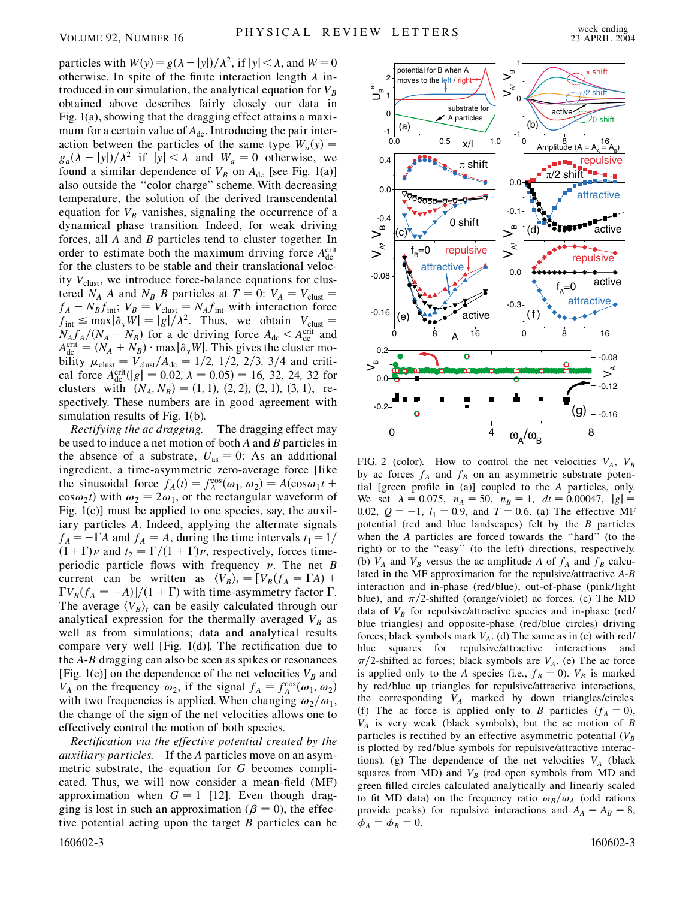particles with  $W(y) = g(\lambda - |y|)/\lambda^2$ , if  $|y| < \lambda$ , and  $W = 0$ otherwise. In spite of the finite interaction length  $\lambda$  introduced in our simulation, the analytical equation for  $V_B$ obtained above describes fairly closely our data in Fig. 1(a), showing that the dragging effect attains a maximum for a certain value of  $A_{dc}$ . Introducing the pair interaction between the particles of the same type  $W_a(y)$  =  $g_a(\lambda - |y|)/\lambda^2$  if  $|y| < \lambda$  and  $W_a = 0$  otherwise, we found a similar dependence of  $V_B$  on  $A_{dc}$  [see Fig. 1(a)] also outside the ''color charge'' scheme. With decreasing temperature, the solution of the derived transcendental equation for  $V_B$  vanishes, signaling the occurrence of a dynamical phase transition. Indeed, for weak driving forces, all *A* and *B* particles tend to cluster together. In order to estimate both the maximum driving force  $A_{dc}^{crit}$ for the clusters to be stable and their translational velocity  $V_{\text{clust}}$ , we introduce force-balance equations for clustered *N<sub>A</sub> A* and *N<sub>B</sub> B* particles at  $T = 0$ :  $V_A = V_{\text{clust}} =$  $f_A - N_B f_{int}$ ;  $V_B = V_{clust} = N_A f_{int}$  with interaction force  $f_{\text{int}} \le \max|\partial_y W| = |g|/\lambda^2$ . Thus, we obtain  $V_{\text{clust}} =$  $N_A f_A / (N_A + N_B)$  for a dc driving force  $A_{\text{dc}} < A_{\text{dc}}^{\text{crit}}$  and  $A_{\text{dc}}^{\text{crit}} = (N_A + N_B) \cdot \max_{\theta_y} |\theta_y W|$ . This gives the cluster mobility  $\mu_{\text{clust}} = V_{\text{clust}}/A_{\text{dc}} = 1/2, 1/2, 2/3, 3/4$  and critical force  $A_{\text{dc}}^{\text{crit}}(|g| = 0.02, \lambda = 0.05) = 16, 32, 24, 32$  for clusters with  $(N_A, N_B) = (1, 1), (2, 2), (2, 1), (3, 1),$  respectively. These numbers are in good agreement with simulation results of Fig. 1(b).

*Rectifying the ac dragging*.—The dragging effect may be used to induce a net motion of both *A* and *B* particles in the absence of a substrate,  $U_{\text{as}} = 0$ : As an additional ingredient, a time-asymmetric zero-average force [like the sinusoidal force  $f_A(t) = f_A^{\cos}(\omega_1, \omega_2) = A(\cos \omega_1 t +$  $\cos \omega_2 t$ ) with  $\omega_2 = 2\omega_1$ , or the rectangular waveform of Fig. 1(c)] must be applied to one species, say, the auxiliary particles *A*. Indeed, applying the alternate signals  $f_A = -\Gamma A$  and  $f_A = A$ , during the time intervals  $t_1 = 1/$  $(1+\Gamma)\nu$  and  $t_2 = \Gamma/(1+\Gamma)\nu$ , respectively, forces timeperiodic particle flows with frequency  $\nu$ . The net *B* current can be written as  $\langle V_B \rangle_t = [V_B(f_A = \Gamma A) +$  $\Gamma V_B(f_A = -A)$ ]/(1 +  $\Gamma$ ) with time-asymmetry factor  $\Gamma$ . The average  $\langle V_B \rangle_t$  can be easily calculated through our analytical expression for the thermally averaged  $V_B$  as well as from simulations; data and analytical results compare very well [Fig. 1(d)]. The rectification due to the *A*-*B* dragging can also be seen as spikes or resonances [Fig. 1(e)] on the dependence of the net velocities  $V_B$  and *V<sub>A</sub>* on the frequency  $\omega_2$ , if the signal  $f_A = f_A^{\cos}(\omega_1, \omega_2)$ with two frequencies is applied. When changing  $\omega_2/\omega_1$ , the change of the sign of the net velocities allows one to effectively control the motion of both species.

*Rectification via the effective potential created by the auxiliary particles*.—If the *A* particles move on an asymmetric substrate, the equation for *G* becomes complicated. Thus, we will now consider a mean-field (MF) approximation when  $G = 1$  [12]. Even though dragging is lost in such an approximation ( $\beta = 0$ ), the effective potential acting upon the target *B* particles can be 160602-3 160602-3



FIG. 2 (color). How to control the net velocities  $V_A$ ,  $V_B$ by ac forces  $f_A$  and  $f_B$  on an asymmetric substrate potential [green profile in (a)] coupled to the *A* particles, only. We set  $\lambda = 0.075$ ,  $n_A = 50$ ,  $n_B = 1$ ,  $dt = 0.00047$ ,  $|g| =$ 0.02,  $Q = -1$ ,  $l_1 = 0.9$ , and  $T = 0.6$ . (a) The effective MF potential (red and blue landscapes) felt by the *B* particles when the *A* particles are forced towards the ''hard'' (to the right) or to the ''easy'' (to the left) directions, respectively. (b)  $V_A$  and  $V_B$  versus the ac amplitude *A* of  $f_A$  and  $f_B$  calculated in the MF approximation for the repulsive/attractive *A*-*B* interaction and in-phase (red/blue), out-of-phase (pink/light blue), and  $\pi/2$ -shifted (orange/violet) ac forces. (c) The MD data of  $V_B$  for repulsive/attractive species and in-phase (red/ blue triangles) and opposite-phase (red/blue circles) driving forces; black symbols mark  $V_A$ . (d) The same as in (c) with red/ blue squares for repulsive/attractive interactions and  $\pi/2$ -shifted ac forces; black symbols are *V<sub>A</sub>*. (e) The ac force is applied only to the *A* species (i.e.,  $f_B = 0$ ).  $V_B$  is marked by red/blue up triangles for repulsive/attractive interactions, the corresponding  $V_A$  marked by down triangles/circles. (f) The ac force is applied only to *B* particles  $(f_A = 0)$ , *VA* is very weak (black symbols), but the ac motion of *B* particles is rectified by an effective asymmetric potential ( $V_B$ is plotted by red/blue symbols for repulsive/attractive interactions). (g) The dependence of the net velocities  $V_A$  (black squares from  $MD$ ) and  $V_B$  (red open symbols from  $MD$  and green filled circles calculated analytically and linearly scaled to fit MD data) on the frequency ratio  $\omega_B/\omega_A$  (odd rations provide peaks) for repulsive interactions and  $A_A = A_B = 8$ ,  $\phi_A = \phi_B = 0.$